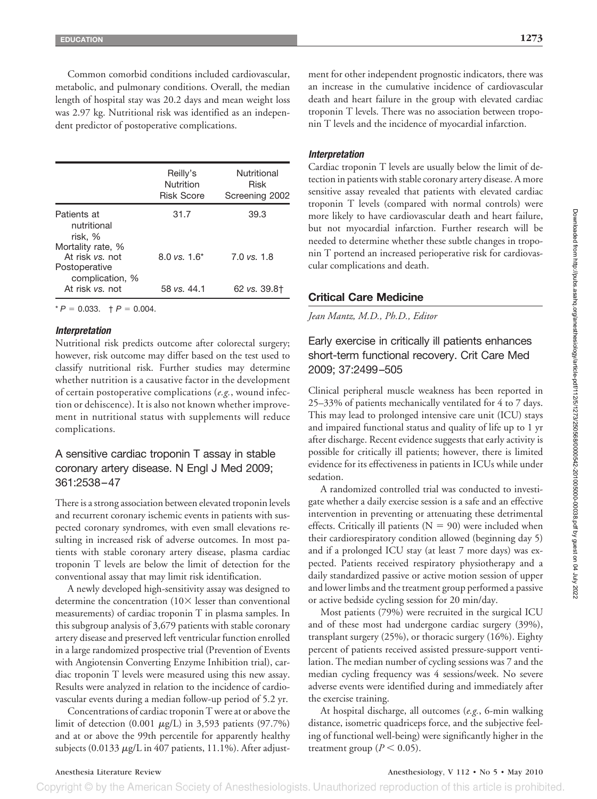Common comorbid conditions included cardiovascular, metabolic, and pulmonary conditions. Overall, the median length of hospital stay was 20.2 days and mean weight loss was 2.97 kg. Nutritional risk was identified as an independent predictor of postoperative complications.

| Reilly's<br>Nutrition<br><b>Risk Score</b> | Nutritional<br>Risk<br>Screening 2002 |
|--------------------------------------------|---------------------------------------|
| 31.7                                       | 39.3                                  |
| $8.0 \text{ vs. } 1.6^*$                   | 7.0 vs. 1.8                           |
| 58 vs. 44.1                                | 62 vs. 39.8†                          |
|                                            |                                       |

 $* P = 0.033$ .  $\uparrow P = 0.004$ .

### *Interpretation*

Nutritional risk predicts outcome after colorectal surgery; however, risk outcome may differ based on the test used to classify nutritional risk. Further studies may determine whether nutrition is a causative factor in the development of certain postoperative complications (*e.g.*, wound infection or dehiscence). It is also not known whether improvement in nutritional status with supplements will reduce complications.

## A sensitive cardiac troponin T assay in stable coronary artery disease. N Engl J Med 2009; 361:2538 –47

There is a strong association between elevated troponin levels and recurrent coronary ischemic events in patients with suspected coronary syndromes, with even small elevations resulting in increased risk of adverse outcomes. In most patients with stable coronary artery disease, plasma cardiac troponin T levels are below the limit of detection for the conventional assay that may limit risk identification.

A newly developed high-sensitivity assay was designed to determine the concentration  $(10 \times \text{lesser than conventional})$ measurements) of cardiac troponin T in plasma samples. In this subgroup analysis of 3,679 patients with stable coronary artery disease and preserved left ventricular function enrolled in a large randomized prospective trial (Prevention of Events with Angiotensin Converting Enzyme Inhibition trial), cardiac troponin T levels were measured using this new assay. Results were analyzed in relation to the incidence of cardiovascular events during a median follow-up period of 5.2 yr.

Concentrations of cardiac troponin T were at or above the limit of detection  $(0.001 \mu g/L)$  in 3,593 patients  $(97.7\%)$ and at or above the 99th percentile for apparently healthy subjects  $(0.0133 \mu g/L \text{ in } 407 \text{ patients}, 11.1\%)$ . After adjustment for other independent prognostic indicators, there was an increase in the cumulative incidence of cardiovascular death and heart failure in the group with elevated cardiac troponin T levels. There was no association between troponin T levels and the incidence of myocardial infarction.

## *Interpretation*

Cardiac troponin T levels are usually below the limit of detection in patients with stable coronary artery disease. A more sensitive assay revealed that patients with elevated cardiac troponin T levels (compared with normal controls) were more likely to have cardiovascular death and heart failure, but not myocardial infarction. Further research will be needed to determine whether these subtle changes in troponin T portend an increased perioperative risk for cardiovascular complications and death.

## **Critical Care Medicine**

*Jean Mantz, M.D., Ph.D., Editor*

# Early exercise in critically ill patients enhances short-term functional recovery. Crit Care Med 2009; 37:2499 –505

Clinical peripheral muscle weakness has been reported in 25–33% of patients mechanically ventilated for 4 to 7 days. This may lead to prolonged intensive care unit (ICU) stays and impaired functional status and quality of life up to 1 yr after discharge. Recent evidence suggests that early activity is possible for critically ill patients; however, there is limited evidence for its effectiveness in patients in ICUs while under sedation.

A randomized controlled trial was conducted to investigate whether a daily exercise session is a safe and an effective intervention in preventing or attenuating these detrimental effects. Critically ill patients ( $N = 90$ ) were included when their cardiorespiratory condition allowed (beginning day 5) and if a prolonged ICU stay (at least 7 more days) was expected. Patients received respiratory physiotherapy and a daily standardized passive or active motion session of upper and lower limbs and the treatment group performed a passive or active bedside cycling session for 20 min/day.

Most patients (79%) were recruited in the surgical ICU and of these most had undergone cardiac surgery (39%), transplant surgery (25%), or thoracic surgery (16%). Eighty percent of patients received assisted pressure-support ventilation. The median number of cycling sessions was 7 and the median cycling frequency was 4 sessions/week. No severe adverse events were identified during and immediately after the exercise training.

At hospital discharge, all outcomes (*e.g.*, 6-min walking distance, isometric quadriceps force, and the subjective feeling of functional well-being) were significantly higher in the treatment group ( $P < 0.05$ ).

## Anesthesia Literature Review Anesthesiology, V 112 • No 5 • May 2010

Copyright © by the American Society of Anesthesiologists. Unauthorized reproduction of this article is prohibited.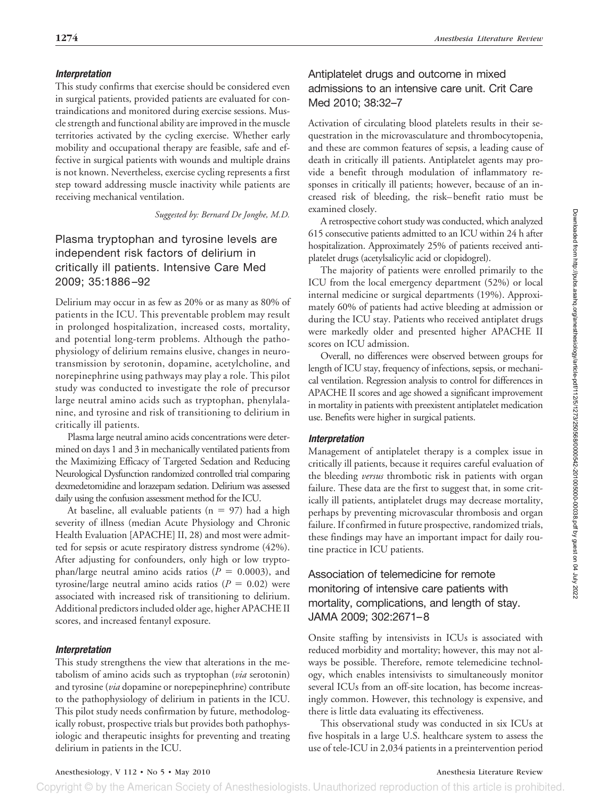## *Interpretation*

This study confirms that exercise should be considered even in surgical patients, provided patients are evaluated for contraindications and monitored during exercise sessions. Muscle strength and functional ability are improved in the muscle territories activated by the cycling exercise. Whether early mobility and occupational therapy are feasible, safe and effective in surgical patients with wounds and multiple drains is not known. Nevertheless, exercise cycling represents a first step toward addressing muscle inactivity while patients are receiving mechanical ventilation.

*Suggested by: Bernard De Jonghe, M.D.*

# Plasma tryptophan and tyrosine levels are independent risk factors of delirium in critically ill patients. Intensive Care Med 2009; 35:1886 –92

Delirium may occur in as few as 20% or as many as 80% of patients in the ICU. This preventable problem may result in prolonged hospitalization, increased costs, mortality, and potential long-term problems. Although the pathophysiology of delirium remains elusive, changes in neurotransmission by serotonin, dopamine, acetylcholine, and norepinephrine using pathways may play a role. This pilot study was conducted to investigate the role of precursor large neutral amino acids such as tryptophan, phenylalanine, and tyrosine and risk of transitioning to delirium in critically ill patients.

Plasma large neutral amino acids concentrations were determined on days 1 and 3 in mechanically ventilated patients from the Maximizing Efficacy of Targeted Sedation and Reducing Neurological Dysfunction randomized controlled trial comparing dexmedetomidine and lorazepam sedation. Delirium was assessed daily using the confusion assessment method for the ICU.

At baseline, all evaluable patients ( $n = 97$ ) had a high severity of illness (median Acute Physiology and Chronic Health Evaluation [APACHE] II, 28) and most were admitted for sepsis or acute respiratory distress syndrome (42%). After adjusting for confounders, only high or low tryptophan/large neutral amino acids ratios  $(P = 0.0003)$ , and tyrosine/large neutral amino acids ratios  $(P = 0.02)$  were associated with increased risk of transitioning to delirium. Additional predictors included older age, higher APACHE II scores, and increased fentanyl exposure.

# *Interpretation*

This study strengthens the view that alterations in the metabolism of amino acids such as tryptophan (*via* serotonin) and tyrosine (*via* dopamine or norepepinephrine) contribute to the pathophysiology of delirium in patients in the ICU. This pilot study needs confirmation by future, methodologically robust, prospective trials but provides both pathophysiologic and therapeutic insights for preventing and treating delirium in patients in the ICU.

# Antiplatelet drugs and outcome in mixed admissions to an intensive care unit. Crit Care Med 2010; 38:32–7

Activation of circulating blood platelets results in their sequestration in the microvasculature and thrombocytopenia, and these are common features of sepsis, a leading cause of death in critically ill patients. Antiplatelet agents may provide a benefit through modulation of inflammatory responses in critically ill patients; however, because of an increased risk of bleeding, the risk– benefit ratio must be examined closely.

A retrospective cohort study was conducted, which analyzed 615 consecutive patients admitted to an ICU within 24 h after hospitalization. Approximately 25% of patients received antiplatelet drugs (acetylsalicylic acid or clopidogrel).

The majority of patients were enrolled primarily to the ICU from the local emergency department (52%) or local internal medicine or surgical departments (19%). Approximately 60% of patients had active bleeding at admission or during the ICU stay. Patients who received antiplatet drugs were markedly older and presented higher APACHE II scores on ICU admission.

Overall, no differences were observed between groups for length of ICU stay, frequency of infections, sepsis, or mechanical ventilation. Regression analysis to control for differences in APACHE II scores and age showed a significant improvement in mortality in patients with preexistent antiplatelet medication use. Benefits were higher in surgical patients.

## *Interpretation*

Management of antiplatelet therapy is a complex issue in critically ill patients, because it requires careful evaluation of the bleeding *versus* thrombotic risk in patients with organ failure. These data are the first to suggest that, in some critically ill patients, antiplatelet drugs may decrease mortality, perhaps by preventing microvascular thrombosis and organ failure. If confirmed in future prospective, randomized trials, these findings may have an important impact for daily routine practice in ICU patients.

# Association of telemedicine for remote monitoring of intensive care patients with mortality, complications, and length of stay. JAMA 2009; 302:2671–8

Onsite staffing by intensivists in ICUs is associated with reduced morbidity and mortality; however, this may not always be possible. Therefore, remote telemedicine technology, which enables intensivists to simultaneously monitor several ICUs from an off-site location, has become increasingly common. However, this technology is expensive, and there is little data evaluating its effectiveness.

This observational study was conducted in six ICUs at five hospitals in a large U.S. healthcare system to assess the use of tele-ICU in 2,034 patients in a preintervention period

Anesthesiology, V 112 • No 5 • May 2010 Anesthesia Literature Review

Copyright © by the American Society of Anesthesiologists. Unauthorized reproduction of this article is prohibited.